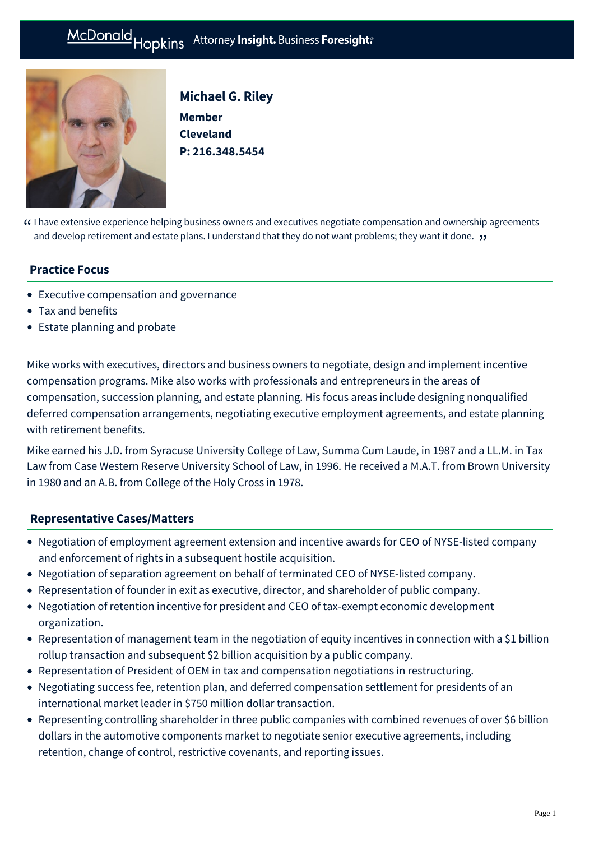#### Hopkins Attorney Insight. Business Foresight: McDonald



Michael G. Riley **Member Cleveland P: [216.348.5454](tel:216.348.5454)**

 $\Omega$  I have extensive experience helping business owners and executives negotiate compensation and ownership agreements<br>They want it done they want it done they and develop retirement and estate plans. Lunderstand that th and develop retirement and estate plans. I understand that they do not want problems; they want it done. "

## **Practice Focus**

- [Executive compensation and governance](https://mcdonaldhopkins.com/Expertise/Tax-and-benefits/Executive-compensation-and-governance)
- [Tax and benefits](https://mcdonaldhopkins.com/Expertise/Tax-and-benefits)
- [Estate planning and probate](https://mcdonaldhopkins.com/Expertise/Estate-planning-and-probate)

Mike works with executives, directors and business owners to negotiate, design and implement incentive compensation programs. Mike also works with professionals and entrepreneurs in the areas of compensation, succession planning, and estate planning. His focus areas include designing nonqualified deferred compensation arrangements, negotiating executive employment agreements, and estate planning with retirement benefits.

Mike earned his J.D. from Syracuse University College of Law, Summa Cum Laude, in 1987 and a LL.M. in Tax Law from Case Western Reserve University School of Law, in 1996. He received a M.A.T. from Brown University in 1980 and an A.B. from College of the Holy Cross in 1978.

## **[Representative Cases/Matters](#page-0-0)**

- <span id="page-0-0"></span>Negotiation of employment agreement extension and incentive awards for CEO of NYSE-listed company and enforcement of rights in a subsequent hostile acquisition.
- Negotiation of separation agreement on behalf of terminated CEO of NYSE-listed company.
- Representation of founder in exit as executive, director, and shareholder of public company.
- Negotiation of retention incentive for president and CEO of tax-exempt economic development organization.
- Representation of management team in the negotiation of equity incentives in connection with a \$1 billion rollup transaction and subsequent \$2 billion acquisition by a public company.
- Representation of President of OEM in tax and compensation negotiations in restructuring.
- Negotiating success fee, retention plan, and deferred compensation settlement for presidents of an international market leader in \$750 million dollar transaction.
- Representing controlling shareholder in three public companies with combined revenues of over \$6 billion dollars in the automotive components market to negotiate senior executive agreements, including retention, change of control, restrictive covenants, and reporting issues.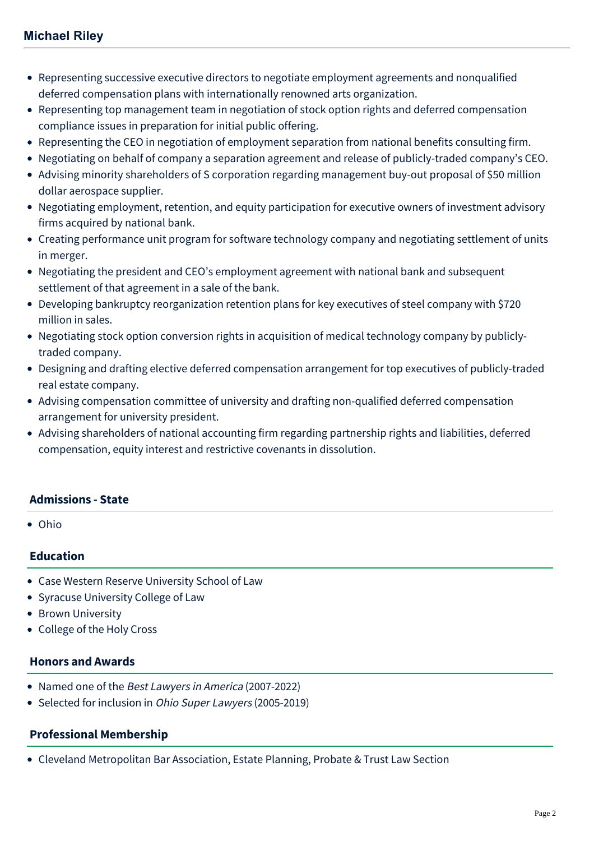- Representing successive executive directors to negotiate employment agreements and nonqualified deferred compensation plans with internationally renowned arts organization.
- Representing top management team in negotiation of stock option rights and deferred compensation compliance issues in preparation for initial public offering.
- Representing the CEO in negotiation of employment separation from national benefits consulting firm.
- Negotiating on behalf of company a separation agreement and release of publicly-traded company's CEO.
- Advising minority shareholders of S corporation regarding management buy-out proposal of \$50 million dollar aerospace supplier.
- Negotiating employment, retention, and equity participation for executive owners of investment advisory firms acquired by national bank.
- Creating performance unit program for software technology company and negotiating settlement of units in merger.
- Negotiating the president and CEO's employment agreement with national bank and subsequent settlement of that agreement in a sale of the bank.
- Developing bankruptcy reorganization retention plans for key executives of steel company with \$720 million in sales.
- Negotiating stock option conversion rights in acquisition of medical technology company by publiclytraded company.
- Designing and drafting elective deferred compensation arrangement for top executives of publicly-traded real estate company.
- Advising compensation committee of university and drafting non-qualified deferred compensation arrangement for university president.
- Advising shareholders of national accounting firm regarding partnership rights and liabilities, deferred compensation, equity interest and restrictive covenants in dissolution.

## **Admissions - State**

• Ohio

## **Education**

- Case Western Reserve University School of Law
- Syracuse University College of Law
- Brown University
- College of the Holy Cross

## **Honors and Awards**

- Named one of the Best Lawyers in America (2007-2022)
- Selected for inclusion in Ohio Super Lawyers (2005-2019)

## **Professional Membership**

Cleveland Metropolitan Bar Association, Estate Planning, Probate & Trust Law Section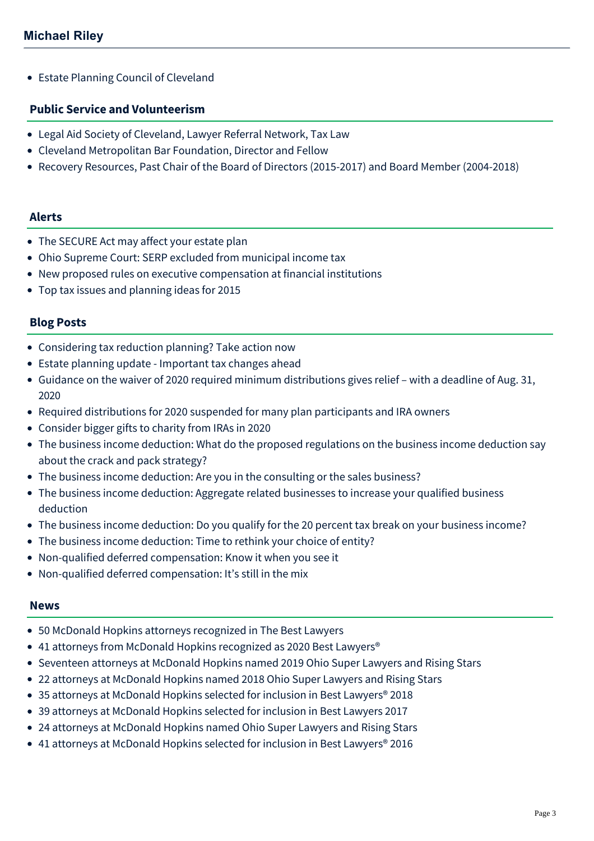• Estate Planning Council of Cleveland

### **Public Service and Volunteerism**

- Legal Aid Society of Cleveland, Lawyer Referral Network, Tax Law
- Cleveland Metropolitan Bar Foundation, Director and Fellow
- Recovery Resources, Past Chair of the Board of Directors (2015-2017) and Board Member (2004-2018)

#### **Alerts**

- [The SECURE Act may affect your estate plan](https://mcdonaldhopkins.com/Insights/January-2020/The-SECURE-Act-may-affect-your-estate-plan)
- [Ohio Supreme Court: SERP excluded from municipal income tax](https://mcdonaldhopkins.com/Insights/October-2017/Ohio-Supreme-Court-SERP-excluded-from-municipal-in)
- [New proposed rules on executive compensation at financial institutions](https://mcdonaldhopkins.com/Insights/May-2016/New-proposed-rules-on-executive-compensation-at-fi)
- [Top tax issues and planning ideas for 2015](https://mcdonaldhopkins.com/Insights/November-2015/Top-tax-issues-and-planning-ideas-for-2015)

## **Blog Posts**

- [Considering tax reduction planning? Take action now](https://mcdonaldhopkins.com/Insights/September-2021/Considering-tax-reduction-planning-Take-action-now)
- [Estate planning update Important tax changes ahead](https://mcdonaldhopkins.com/Insights/April-2021/Estate-planning-update-Important-tax-changes-ahead)
- [Guidance on the waiver of 2020 required minimum distributions gives relief with a deadline of Aug. 31,](https://mcdonaldhopkins.com/Insights/April-2020/More-on-the-suspension-of-required-minimum-distrib) 2020
- [Required distributions for 2020 suspended for many plan participants and IRA owners](https://mcdonaldhopkins.com/Insights/March-2020/CARES-Act-No-required-distributions-for-2020)
- [Consider bigger gifts to charity from IRAs in 2020](https://mcdonaldhopkins.com/Insights/May-2020/Consider-bigger-gifts-to-charity-from-IRAs-in-2020)
- [The business income deduction: What do the proposed regulations on the business income deduction say](https://mcdonaldhopkins.com/Insights/August-2018/What-do-proposed-regulations-on-the-business-incom) about the crack and pack strategy?
- [The business income deduction: Are you in the consulting or the sales business?](https://mcdonaldhopkins.com/Insights/August-2018/Are-you-in-the-consulting-or-the-sales-business)
- [The business income deduction: Aggregate related businesses to increase your qualified business](https://mcdonaldhopkins.com/Insights/August-2018/Aggregate-related-businesses-to-increase-your-qual) deduction
- [The business income deduction: Do you qualify for the 20 percent tax break on your business income?](https://mcdonaldhopkins.com/Insights/August-2018/Do-you-qualify-for-the-20-percent-tax-break-on-you)
- [The business income deduction: Time to rethink your choice of entity?](https://mcdonaldhopkins.com/Insights/August-2018/Time-to-rethink-your-choice-of-entity)
- [Non-qualified deferred compensation: Know it when you see it](https://mcdonaldhopkins.com/Insights/January-2017/Non-qualified-deferred-compensation-Know-it-when-y)
- [Non-qualified deferred compensation: It's still in the mix](https://mcdonaldhopkins.com/Insights/January-2017/Non-qualified-deferred-compensation-It-s-still-in)

#### **News**

- [50 McDonald Hopkins attorneys recognized in The Best Lawyers](https://mcdonaldhopkins.com/Insights/August-2021/50-McDonald-Hopkins-attorneys-recognized-in-The-Be)
- [41 attorneys from McDonald Hopkins recognized as 2020 Best Lawyers®](https://mcdonaldhopkins.com/Insights/August-2019/40-attorneys-from-McDonald-Hopkins-recognized-as-2)
- [Seventeen attorneys at McDonald Hopkins named 2019 Ohio Super Lawyers and Rising Stars](https://mcdonaldhopkins.com/Insights/December-2018/Seventeen-attorneys-at-McDonald-Hopkins-named-2019)
- [22 attorneys at McDonald Hopkins named 2018 Ohio Super Lawyers and Rising Stars](https://mcdonaldhopkins.com/Insights/December-2017/22-attorneys-at-McDonald-Hopkins-named-2018-Ohio-S)
- [35 attorneys at McDonald Hopkins selected for inclusion in Best Lawyers® 2018](https://mcdonaldhopkins.com/Insights/August-2017/35-attorneys-at-McDonald-Hopkins-selected-for-incl)
- [39 attorneys at McDonald Hopkins selected for inclusion in Best Lawyers 2017](https://mcdonaldhopkins.com/Insights/August-2016/39-attorneys-at-McDonald-Hopkins-selected-for-incl)
- [24 attorneys at McDonald Hopkins named Ohio Super Lawyers and Rising Stars](https://mcdonaldhopkins.com/Insights/December-2015/24-attorneys-at-McDonald-Hopkins-named-Ohio-Super)
- [41 attorneys at McDonald Hopkins selected for inclusion in Best Lawyers® 2016](https://mcdonaldhopkins.com/Insights/August-2015/33-attorneys-at-McDonald-Hopkins-selected-for-incl)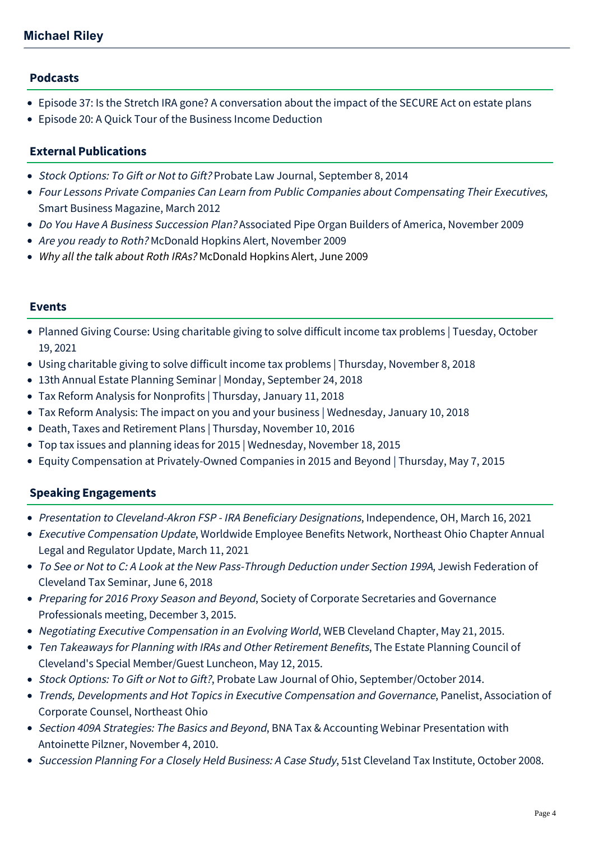## **Podcasts**

- [Episode 37: Is the Stretch IRA gone? A conversation about the impact of the SECURE Act on estate plans](https://mcdonaldhopkins.com/Insights/February-2020/Episode-37-Is-the-Stretch-IRA-gone-A-conversation)
- [Episode 20: A Quick Tour of the Business Income Deduction](https://mcdonaldhopkins.com/Insights/October-2018/A-Quick-Tour-of-the-Business-Income-Deduction)

## **External Publications**

- Stock Options: To Gift or Not to Gift? Probate Law Journal, September 8, 2014
- [Four Lessons Private Companies Can Learn from Public Companies about Compensating Their Executives](http://www.sbnonline.com/2012/03/four-lessons-private-companies-can-learn-from-public-companies-about-compensating-their-executives/?full=1), Smart Business Magazine, March 2012
- Do You Have A Business Succession Plan? [Associated Pipe Organ Builders of America, November 2009](http://www.mcdonaldhopkins.com/news.aspx?id=7qIDvqMt6Ee8hbWMOPP6Lg)
- Are you ready to Roth? [McDonald Hopkins Alert, November 2009](http://www.mcdonaldhopkins.com/news.aspx?id=t9cq5k0W5kGidFB61QGq2A)
- Why all the talk about Roth IRAs? [McDonald Hopkins Alert, June 2009](http://www.mcdonaldhopkins.com/documents/news/Roth%20IRA.pdf)

## **Events**

- [Planned Giving Course: Using charitable giving to solve difficult income tax problems | Tuesday, October](https://mcdonaldhopkins.com/Events/2021/Planned-Giving-Course-Using-charitable-giving-to-s) 19, 2021
- [Using charitable giving to solve difficult income tax problems | Thursday, November 8, 2018](https://mcdonaldhopkins.com/Events/2018/Using-charitable-giving-to-solve-difficult-income)
- [13th Annual Estate Planning Seminar | Monday, September 24, 2018](https://mcdonaldhopkins.com/Events/2018/13th-Annual-Estate-Planning-Seminar)
- [Tax Reform Analysis for Nonprofits | Thursday, January 11, 2018](https://mcdonaldhopkins.com/Events/2017/Tax-Reform-Analysis-for-Nonprofits)
- [Tax Reform Analysis: The impact on you and your business | Wednesday, January 10, 2018](https://mcdonaldhopkins.com/Events/2018/Tax-Reform-Analysis)
- [Death, Taxes and Retirement Plans | Thursday, November 10, 2016](https://mcdonaldhopkins.com/Events/2016/Death-Taxes-and-Retirement-Plans)
- [Top tax issues and planning ideas for 2015 | Wednesday, November 18, 2015](https://mcdonaldhopkins.com/Events/2015/Top-tax-issues-and-planning-ideas-for-2015)
- [Equity Compensation at Privately-Owned Companies in 2015 and Beyond | Thursday, May 7, 2015](https://mcdonaldhopkins.com/Events/2015/Executive-Compensation-Series-Equity-Compensation-at-Privately-Owned-Companies-in-2015-and-Beyond)

# **Speaking Engagements**

- Presentation to Cleveland-Akron FSP IRA Beneficiary Designations, Independence, OH, March 16, 2021
- Executive Compensation Update, Worldwide Employee Benefits Network, Northeast Ohio Chapter Annual Legal and Regulator Update, March 11, 2021
- To See or Not to C: A Look at the New Pass-Through Deduction under Section 199A, Jewish Federation of Cleveland Tax Seminar, June 6, 2018
- Preparing for 2016 Proxy Season and Beyond, Society of Corporate Secretaries and Governance Professionals meeting, December 3, 2015.
- Negotiating Executive Compensation in an Evolving World, WEB Cleveland Chapter, May 21, 2015.
- Ten Takeaways for Planning with IRAs and Other Retirement Benefits, The Estate Planning Council of Cleveland's Special Member/Guest Luncheon, May 12, 2015.
- Stock Options: To Gift or Not to Gift?, Probate Law Journal of Ohio, September/October 2014.
- Trends, Developments and Hot Topics in Executive Compensation and Governance, Panelist, Association of Corporate Counsel, Northeast Ohio
- Section 409A Strategies: The Basics and Beyond, BNA Tax & Accounting Webinar Presentation with Antoinette Pilzner, November 4, 2010.
- Succession Planning For a Closely Held Business: A Case Study, 51st Cleveland Tax Institute, October 2008.